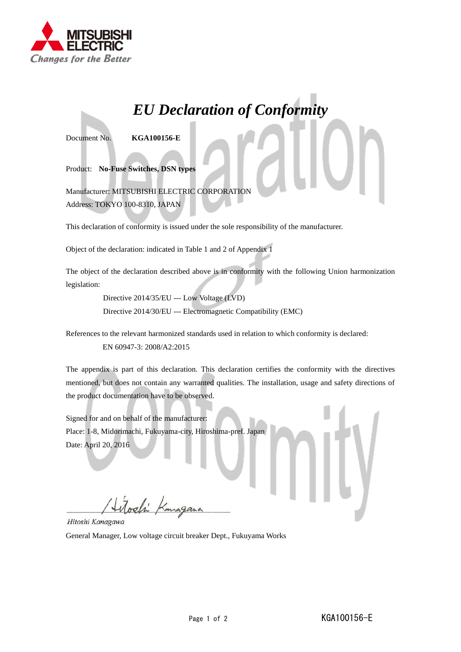

## *EU Declaration of Conformity*

Document No. **KGA100156-E**

Product: **No-Fuse Switches, DSN types**

Manufacturer: MITSUBISHI ELECTRIC CORPORATION Address: TOKYO 100-8310, JAPAN

This declaration of conformity is issued under the sole responsibility of the manufacturer.

Object of the declaration: indicated in Table 1 and 2 of Appendix 1

The object of the declaration described above is in conformity with the following Union harmonization legislation:

> Directive 2014/35/EU --- Low Voltage (LVD) Directive 2014/30/EU --- Electromagnetic Compatibility (EMC)

References to the relevant harmonized standards used in relation to which conformity is declared:

EN 60947-3: 2008/A2:2015

The appendix is part of this declaration. This declaration certifies the conformity with the directives mentioned, but does not contain any warranted qualities. The installation, usage and safety directions of the product documentation have to be observed.

Signed for and on behalf of the manufacturer: Place: 1-8, Midorimachi, Fukuyama-city, Hiroshima-pref. Japan Date: April 20, 2016

Hitoshi Kanagawa

General Manager, Low voltage circuit breaker Dept., Fukuyama Works